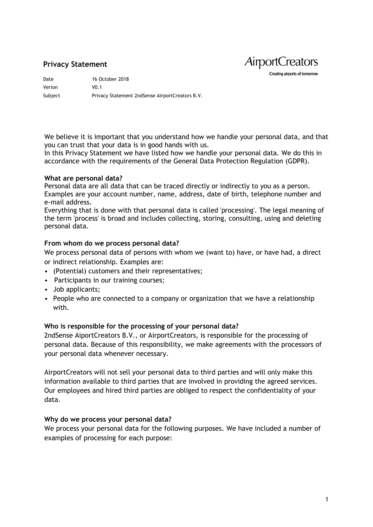# **Privacy Statement**

**AirportCreators** Creating airports of tomorrow

Date 16 October 2018 Verion V0.1 Subject Privacy Statement 2ndSense AirportCreators B.V.

We believe it is important that you understand how we handle your personal data, and that you can trust that your data is in good hands with us.

In this Privacy Statement we have listed how we handle your personal data. We do this in accordance with the requirements of the General Data Protection Regulation (GDPR).

#### **What are personal data?**

Personal data are all data that can be traced directly or indirectly to you as a person. Examples are your account number, name, address, date of birth, telephone number and e-mail address.

Everything that is done with that personal data is called 'processing'. The legal meaning of the term 'process' is broad and includes collecting, storing, consulting, using and deleting personal data.

#### **From whom do we process personal data?**

We process personal data of persons with whom we (want to) have, or have had, a direct or indirect relationship. Examples are:

- (Potential) customers and their representatives;
- Participants in our training courses;
- Job applicants;
- People who are connected to a company or organization that we have a relationship with.

#### **Who is responsible for the processing of your personal data?**

2ndSense AiportCreators B.V., or AirportCreators, is responsible for the processing of personal data. Because of this responsibility, we make agreements with the processors of your personal data whenever necessary.

AirportCreators will not sell your personal data to third parties and will only make this information available to third parties that are involved in providing the agreed services. Our employees and hired third parties are obliged to respect the confidentiality of your data.

#### **Why do we process your personal data?**

We process your personal data for the following purposes. We have included a number of examples of processing for each purpose: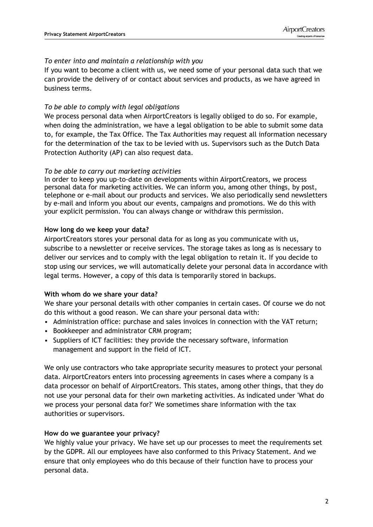### *To enter into and maintain a relationship with you*

If you want to become a client with us, we need some of your personal data such that we can provide the delivery of or contact about services and products, as we have agreed in business terms.

### *To be able to comply with legal obligations*

We process personal data when AirportCreators is legally obliged to do so. For example, when doing the administration, we have a legal obligation to be able to submit some data to, for example, the Tax Office. The Tax Authorities may request all information necessary for the determination of the tax to be levied with us. Supervisors such as the Dutch Data Protection Authority (AP) can also request data.

#### *To be able to carry out marketing activities*

In order to keep you up-to-date on developments within AirportCreators, we process personal data for marketing activities. We can inform you, among other things, by post, telephone or e-mail about our products and services. We also periodically send newsletters by e-mail and inform you about our events, campaigns and promotions. We do this with your explicit permission. You can always change or withdraw this permission.

### **How long do we keep your data?**

AirportCreators stores your personal data for as long as you communicate with us, subscribe to a newsletter or receive services. The storage takes as long as is necessary to deliver our services and to comply with the legal obligation to retain it. If you decide to stop using our services, we will automatically delete your personal data in accordance with legal terms. However, a copy of this data is temporarily stored in backups.

#### **With whom do we share your data?**

We share your personal details with other companies in certain cases. Of course we do not do this without a good reason. We can share your personal data with:

- Administration office: purchase and sales invoices in connection with the VAT return;
- Bookkeeper and administrator CRM program;
- Suppliers of ICT facilities: they provide the necessary software, information management and support in the field of ICT.

We only use contractors who take appropriate security measures to protect your personal data. AirportCreators enters into processing agreements in cases where a company is a data processor on behalf of AirportCreators. This states, among other things, that they do not use your personal data for their own marketing activities. As indicated under 'What do we process your personal data for?' We sometimes share information with the tax authorities or supervisors.

#### **How do we guarantee your privacy?**

We highly value your privacy. We have set up our processes to meet the requirements set by the GDPR. All our employees have also conformed to this Privacy Statement. And we ensure that only employees who do this because of their function have to process your personal data.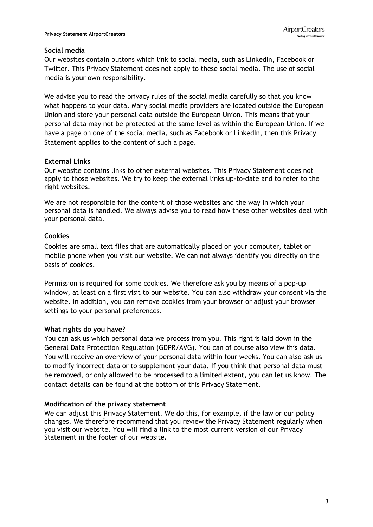### **Social media**

Our websites contain buttons which link to social media, such as LinkedIn, Facebook or Twitter. This Privacy Statement does not apply to these social media. The use of social media is your own responsibility.

We advise you to read the privacy rules of the social media carefully so that you know what happens to your data. Many social media providers are located outside the European Union and store your personal data outside the European Union. This means that your personal data may not be protected at the same level as within the European Union. If we have a page on one of the social media, such as Facebook or LinkedIn, then this Privacy Statement applies to the content of such a page.

# **External Links**

Our website contains links to other external websites. This Privacy Statement does not apply to those websites. We try to keep the external links up-to-date and to refer to the right websites.

We are not responsible for the content of those websites and the way in which your personal data is handled. We always advise you to read how these other websites deal with your personal data.

## **Cookies**

Cookies are small text files that are automatically placed on your computer, tablet or mobile phone when you visit our website. We can not always identify you directly on the basis of cookies.

Permission is required for some cookies. We therefore ask you by means of a pop-up window, at least on a first visit to our website. You can also withdraw your consent via the website. In addition, you can remove cookies from your browser or adjust your browser settings to your personal preferences.

## **What rights do you have?**

You can ask us which personal data we process from you. This right is laid down in the General Data Protection Regulation (GDPR/AVG). You can of course also view this data. You will receive an overview of your personal data within four weeks. You can also ask us to modify incorrect data or to supplement your data. If you think that personal data must be removed, or only allowed to be processed to a limited extent, you can let us know. The contact details can be found at the bottom of this Privacy Statement.

## **Modification of the privacy statement**

We can adjust this Privacy Statement. We do this, for example, if the law or our policy changes. We therefore recommend that you review the Privacy Statement regularly when you visit our website. You will find a link to the most current version of our Privacy Statement in the footer of our website.